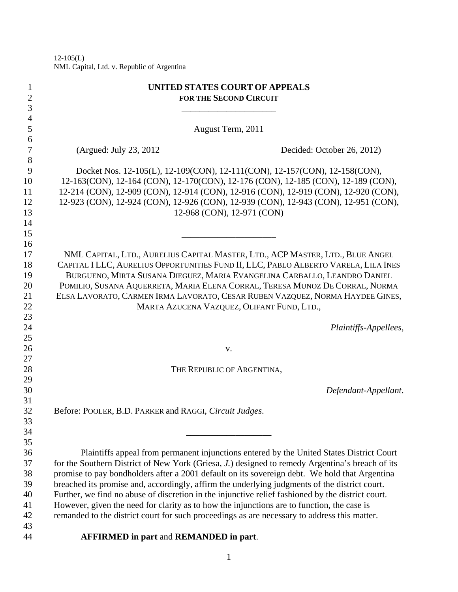$12-105(L)$ NML Capital, Ltd. v. Republic of Argentina

| $\mathbf{1}$<br>$\overline{c}$<br>3 | <b>UNITED STATES COURT OF APPEALS</b><br><b>FOR THE SECOND CIRCUIT</b>                            |
|-------------------------------------|---------------------------------------------------------------------------------------------------|
| $\overline{\mathcal{A}}$            |                                                                                                   |
| 5                                   | August Term, 2011                                                                                 |
| 6                                   |                                                                                                   |
| $\boldsymbol{7}$                    | (Argued: July 23, 2012)<br>Decided: October 26, 2012)                                             |
| 8                                   |                                                                                                   |
| 9                                   | Docket Nos. 12-105(L), 12-109(CON), 12-111(CON), 12-157(CON), 12-158(CON),                        |
| 10                                  | 12-163(CON), 12-164 (CON), 12-170(CON), 12-176 (CON), 12-185 (CON), 12-189 (CON),                 |
| 11                                  | 12-214 (CON), 12-909 (CON), 12-914 (CON), 12-916 (CON), 12-919 (CON), 12-920 (CON),               |
| 12                                  | 12-923 (CON), 12-924 (CON), 12-926 (CON), 12-939 (CON), 12-943 (CON), 12-951 (CON),               |
| 13                                  | 12-968 (CON), 12-971 (CON)                                                                        |
| 14                                  |                                                                                                   |
| 15                                  |                                                                                                   |
| 16                                  |                                                                                                   |
| 17                                  | NML CAPITAL, LTD., AURELIUS CAPITAL MASTER, LTD., ACP MASTER, LTD., BLUE ANGEL                    |
| 18                                  | CAPITAL I LLC, AURELIUS OPPORTUNITIES FUND II, LLC, PABLO ALBERTO VARELA, LILA INES               |
| 19                                  | BURGUENO, MIRTA SUSANA DIEGUEZ, MARIA EVANGELINA CARBALLO, LEANDRO DANIEL                         |
| 20                                  | POMILIO, SUSANA AQUERRETA, MARIA ELENA CORRAL, TERESA MUNOZ DE CORRAL, NORMA                      |
| 21                                  | ELSA LAVORATO, CARMEN IRMA LAVORATO, CESAR RUBEN VAZQUEZ, NORMA HAYDEE GINES,                     |
| 22                                  | MARTA AZUCENA VAZQUEZ, OLIFANT FUND, LTD.,                                                        |
| 23<br>24                            | Plaintiffs-Appellees,                                                                             |
| 25                                  |                                                                                                   |
| 26                                  | V.                                                                                                |
| 27                                  |                                                                                                   |
| 28                                  | THE REPUBLIC OF ARGENTINA,                                                                        |
| 29                                  |                                                                                                   |
| 30                                  | Defendant-Appellant.                                                                              |
| 31                                  |                                                                                                   |
| 32                                  | Before: POOLER, B.D. PARKER and RAGGI, Circuit Judges.                                            |
| 33                                  |                                                                                                   |
| 34                                  |                                                                                                   |
| 35                                  |                                                                                                   |
| 36                                  | Plaintiffs appeal from permanent injunctions entered by the United States District Court          |
| 37                                  | for the Southern District of New York (Griesa, J.) designed to remedy Argentina's breach of its   |
| 38                                  | promise to pay bondholders after a 2001 default on its sovereign debt. We hold that Argentina     |
| 39                                  | breached its promise and, accordingly, affirm the underlying judgments of the district court.     |
| 40                                  | Further, we find no abuse of discretion in the injunctive relief fashioned by the district court. |
| 41                                  | However, given the need for clarity as to how the injunctions are to function, the case is        |
| 42                                  | remanded to the district court for such proceedings as are necessary to address this matter.      |
| 43                                  |                                                                                                   |
| 44                                  | <b>AFFIRMED</b> in part and <b>REMANDED</b> in part.                                              |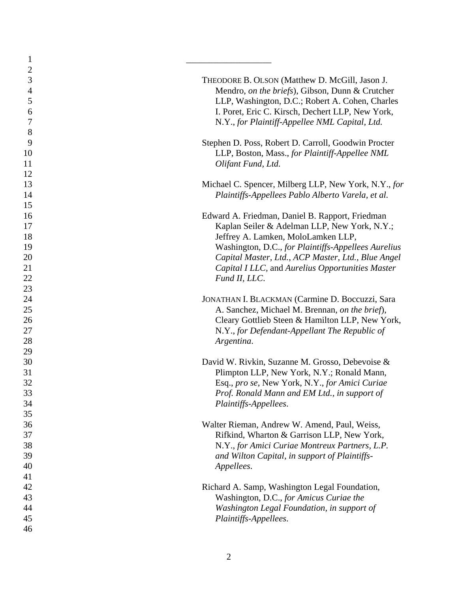| $\mathbf{1}$     |                                                                                       |
|------------------|---------------------------------------------------------------------------------------|
| $\sqrt{2}$       |                                                                                       |
| 3                | THEODORE B. OLSON (Matthew D. McGill, Jason J.                                        |
| $\overline{4}$   | Mendro, on the briefs), Gibson, Dunn & Crutcher                                       |
| 5                | LLP, Washington, D.C.; Robert A. Cohen, Charles                                       |
| 6                | I. Poret, Eric C. Kirsch, Dechert LLP, New York,                                      |
| $\boldsymbol{7}$ | N.Y., for Plaintiff-Appellee NML Capital, Ltd.                                        |
| $8\,$            |                                                                                       |
| 9                | Stephen D. Poss, Robert D. Carroll, Goodwin Procter                                   |
| 10               | LLP, Boston, Mass., for Plaintiff-Appellee NML                                        |
| 11               | Olifant Fund, Ltd.                                                                    |
| 12               |                                                                                       |
| 13               | Michael C. Spencer, Milberg LLP, New York, N.Y., for                                  |
| 14               | Plaintiffs-Appellees Pablo Alberto Varela, et al.                                     |
| 15               |                                                                                       |
| 16               | Edward A. Friedman, Daniel B. Rapport, Friedman                                       |
| 17               | Kaplan Seiler & Adelman LLP, New York, N.Y.;                                          |
| 18               | Jeffrey A. Lamken, MoloLamken LLP,                                                    |
| 19               | Washington, D.C., for Plaintiffs-Appellees Aurelius                                   |
| 20               | Capital Master, Ltd., ACP Master, Ltd., Blue Angel                                    |
| 21               | Capital I LLC, and Aurelius Opportunities Master                                      |
| 22               | Fund II, LLC.                                                                         |
| 23               |                                                                                       |
| 24               | JONATHAN I. BLACKMAN (Carmine D. Boccuzzi, Sara                                       |
| 25               | A. Sanchez, Michael M. Brennan, on the brief),                                        |
| 26               | Cleary Gottlieb Steen & Hamilton LLP, New York,                                       |
| 27               | N.Y., for Defendant-Appellant The Republic of                                         |
| 28               | Argentina.                                                                            |
| 29               |                                                                                       |
| 30               | David W. Rivkin, Suzanne M. Grosso, Debevoise &                                       |
| 31               | Plimpton LLP, New York, N.Y.; Ronald Mann,                                            |
| 32               | Esq., pro se, New York, N.Y., for Amici Curiae                                        |
| 33               | Prof. Ronald Mann and EM Ltd., in support of                                          |
| 34               | Plaintiffs-Appellees.                                                                 |
| 35               |                                                                                       |
| 36               | Walter Rieman, Andrew W. Amend, Paul, Weiss,                                          |
| 37               | Rifkind, Wharton & Garrison LLP, New York,                                            |
| 38               | N.Y., for Amici Curiae Montreux Partners, L.P.                                        |
| 39               | and Wilton Capital, in support of Plaintiffs-                                         |
| 40               | Appellees.                                                                            |
| 41               |                                                                                       |
| 42               | Richard A. Samp, Washington Legal Foundation,                                         |
| 43               |                                                                                       |
| 44               | Washington, D.C., for Amicus Curiae the<br>Washington Legal Foundation, in support of |
| 45               |                                                                                       |
|                  | Plaintiffs-Appellees.                                                                 |
| 46               |                                                                                       |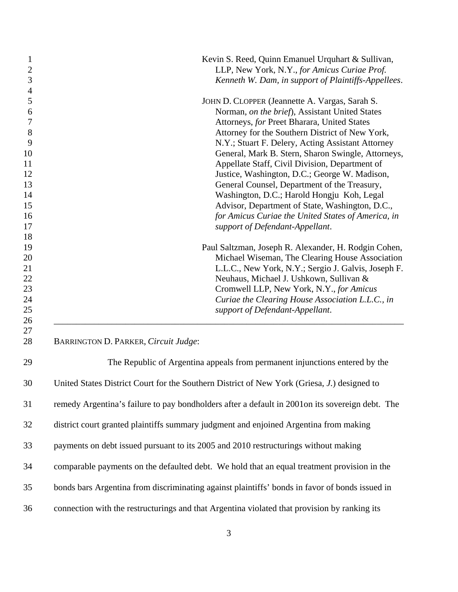| $\mathbf{1}$<br>$\overline{2}$ | Kevin S. Reed, Quinn Emanuel Urquhart & Sullivan,<br>LLP, New York, N.Y., for Amicus Curiae Prof. |
|--------------------------------|---------------------------------------------------------------------------------------------------|
| $\mathfrak{Z}$                 | Kenneth W. Dam, in support of Plaintiffs-Appellees.                                               |
| $\overline{4}$                 |                                                                                                   |
| 5                              | JOHN D. CLOPPER (Jeannette A. Vargas, Sarah S.                                                    |
| 6                              | Norman, on the brief), Assistant United States                                                    |
| 7                              | Attorneys, for Preet Bharara, United States                                                       |
| $8\,$                          | Attorney for the Southern District of New York,                                                   |
| 9                              | N.Y.; Stuart F. Delery, Acting Assistant Attorney                                                 |
| 10                             | General, Mark B. Stern, Sharon Swingle, Attorneys,                                                |
| 11                             | Appellate Staff, Civil Division, Department of                                                    |
| 12                             | Justice, Washington, D.C.; George W. Madison,                                                     |
| 13                             | General Counsel, Department of the Treasury,                                                      |
| 14                             | Washington, D.C.; Harold Hongju Koh, Legal                                                        |
| 15                             | Advisor, Department of State, Washington, D.C.,                                                   |
| 16                             | for Amicus Curiae the United States of America, in                                                |
| 17                             | support of Defendant-Appellant.                                                                   |
| 18                             |                                                                                                   |
| 19                             | Paul Saltzman, Joseph R. Alexander, H. Rodgin Cohen,                                              |
| 20                             | Michael Wiseman, The Clearing House Association                                                   |
| 21                             | L.L.C., New York, N.Y.; Sergio J. Galvis, Joseph F.                                               |
| 22                             | Neuhaus, Michael J. Ushkown, Sullivan &                                                           |
| 23<br>24                       | Cromwell LLP, New York, N.Y., for Amicus                                                          |
| 25                             | Curiae the Clearing House Association L.L.C., in<br>support of Defendant-Appellant.               |
| 26                             |                                                                                                   |
| 27                             |                                                                                                   |
| 28                             | BARRINGTON D. PARKER, Circuit Judge:                                                              |
| 29                             | The Republic of Argentina appeals from permanent injunctions entered by the                       |
| 30                             | United States District Court for the Southern District of New York (Griesa, J.) designed to       |
| 31                             | remedy Argentina's failure to pay bondholders after a default in 2001on its sovereign debt. The   |
| 32                             | district court granted plaintiffs summary judgment and enjoined Argentina from making             |
| 33                             | payments on debt issued pursuant to its 2005 and 2010 restructurings without making               |
| 34                             | comparable payments on the defaulted debt. We hold that an equal treatment provision in the       |
| 35                             | bonds bars Argentina from discriminating against plaintiffs' bonds in favor of bonds issued in    |
| 36                             | connection with the restructurings and that Argentina violated that provision by ranking its      |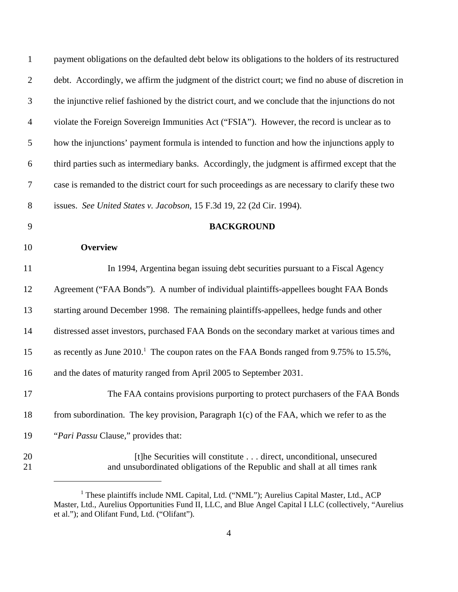| $\mathbf{1}$     | payment obligations on the defaulted debt below its obligations to the holders of its restructured |
|------------------|----------------------------------------------------------------------------------------------------|
| $\overline{2}$   | debt. Accordingly, we affirm the judgment of the district court; we find no abuse of discretion in |
| $\mathfrak{Z}$   | the injunctive relief fashioned by the district court, and we conclude that the injunctions do not |
| $\overline{4}$   | violate the Foreign Sovereign Immunities Act ("FSIA"). However, the record is unclear as to        |
| 5                | how the injunctions' payment formula is intended to function and how the injunctions apply to      |
| 6                | third parties such as intermediary banks. Accordingly, the judgment is affirmed except that the    |
| $\boldsymbol{7}$ | case is remanded to the district court for such proceedings as are necessary to clarify these two  |
| $8\,$            | issues. See United States v. Jacobson, 15 F.3d 19, 22 (2d Cir. 1994).                              |
| 9                | <b>BACKGROUND</b>                                                                                  |
| 10               | <b>Overview</b>                                                                                    |
| 11               | In 1994, Argentina began issuing debt securities pursuant to a Fiscal Agency                       |
| 12               | Agreement ("FAA Bonds"). A number of individual plaintiffs-appellees bought FAA Bonds              |
| 13               | starting around December 1998. The remaining plaintiffs-appellees, hedge funds and other           |
| 14               | distressed asset investors, purchased FAA Bonds on the secondary market at various times and       |
| 15               | as recently as June $20101$ . The coupon rates on the FAA Bonds ranged from 9.75% to 15.5%,        |
| 16               | and the dates of maturity ranged from April 2005 to September 2031.                                |
| 17               | The FAA contains provisions purporting to protect purchasers of the FAA Bonds                      |
| 18               | from subordination. The key provision, Paragraph $1(c)$ of the FAA, which we refer to as the       |
| 19               | "Pari Passu Clause," provides that:                                                                |
|                  |                                                                                                    |

<sup>&</sup>lt;sup>1</sup> These plaintiffs include NML Capital, Ltd. ("NML"); Aurelius Capital Master, Ltd., ACP Master, Ltd., Aurelius Opportunities Fund II, LLC, and Blue Angel Capital I LLC (collectively, "Aurelius et al."); and Olifant Fund, Ltd. ("Olifant").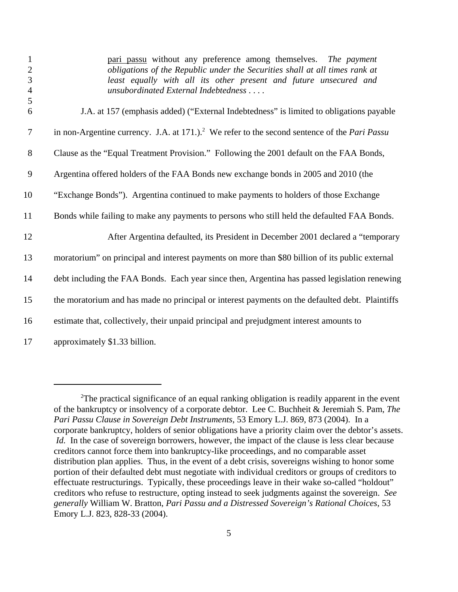| $\mathbf{1}$<br>$\overline{2}$<br>3<br>$\overline{4}$<br>5 | pari passu without any preference among themselves. The payment<br>obligations of the Republic under the Securities shall at all times rank at<br>least equally with all its other present and future unsecured and<br>unsubordinated External Indebtedness |
|------------------------------------------------------------|-------------------------------------------------------------------------------------------------------------------------------------------------------------------------------------------------------------------------------------------------------------|
| 6                                                          | J.A. at 157 (emphasis added) ("External Indebtedness" is limited to obligations payable                                                                                                                                                                     |
| $\tau$                                                     | in non-Argentine currency. J.A. at $171$ .). <sup>2</sup> We refer to the second sentence of the <i>Pari Passu</i>                                                                                                                                          |
| 8                                                          | Clause as the "Equal Treatment Provision." Following the 2001 default on the FAA Bonds,                                                                                                                                                                     |
| 9                                                          | Argentina offered holders of the FAA Bonds new exchange bonds in 2005 and 2010 (the                                                                                                                                                                         |
| 10                                                         | "Exchange Bonds"). Argentina continued to make payments to holders of those Exchange                                                                                                                                                                        |
| 11                                                         | Bonds while failing to make any payments to persons who still held the defaulted FAA Bonds.                                                                                                                                                                 |
| 12                                                         | After Argentina defaulted, its President in December 2001 declared a "temporary                                                                                                                                                                             |
| 13                                                         | moratorium" on principal and interest payments on more than \$80 billion of its public external                                                                                                                                                             |
| 14                                                         | debt including the FAA Bonds. Each year since then, Argentina has passed legislation renewing                                                                                                                                                               |
| 15                                                         | the moratorium and has made no principal or interest payments on the defaulted debt. Plaintiffs                                                                                                                                                             |
| 16                                                         | estimate that, collectively, their unpaid principal and prejudgment interest amounts to                                                                                                                                                                     |
| 17                                                         | approximately \$1.33 billion.                                                                                                                                                                                                                               |

 $2$ The practical significance of an equal ranking obligation is readily apparent in the event of the bankruptcy or insolvency of a corporate debtor. Lee C. Buchheit & Jeremiah S. Pam, *The Pari Passu Clause in Sovereign Debt Instruments*, 53 Emory L.J. 869, 873 (2004). In a corporate bankruptcy, holders of senior obligations have a priority claim over the debtor's assets. *Id.* In the case of sovereign borrowers, however, the impact of the clause is less clear because creditors cannot force them into bankruptcy-like proceedings, and no comparable asset distribution plan applies. Thus, in the event of a debt crisis, sovereigns wishing to honor some portion of their defaulted debt must negotiate with individual creditors or groups of creditors to effectuate restructurings. Typically, these proceedings leave in their wake so-called "holdout" creditors who refuse to restructure, opting instead to seek judgments against the sovereign. *See generally* William W. Bratton, *Pari Passu and a Distressed Sovereign's Rational Choices*, 53 Emory L.J. 823, 828-33 (2004).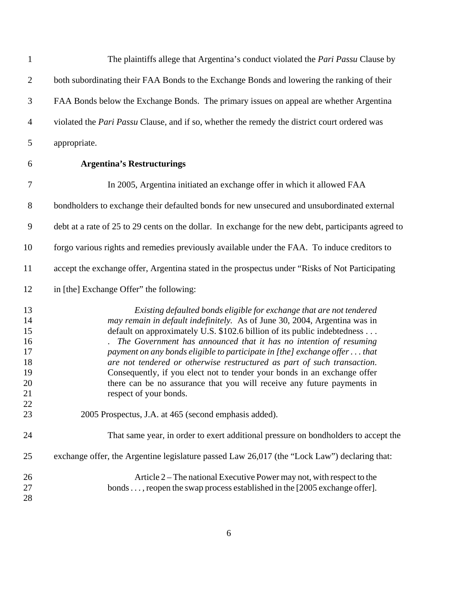| $\mathbf{1}$                                       | The plaintiffs allege that Argentina's conduct violated the <i>Pari Passu</i> Clause by                                                                                                                                                                                                                                                                                                                                                                                                                                                                                                                                                    |
|----------------------------------------------------|--------------------------------------------------------------------------------------------------------------------------------------------------------------------------------------------------------------------------------------------------------------------------------------------------------------------------------------------------------------------------------------------------------------------------------------------------------------------------------------------------------------------------------------------------------------------------------------------------------------------------------------------|
| $\overline{2}$                                     | both subordinating their FAA Bonds to the Exchange Bonds and lowering the ranking of their                                                                                                                                                                                                                                                                                                                                                                                                                                                                                                                                                 |
| 3                                                  | FAA Bonds below the Exchange Bonds. The primary issues on appeal are whether Argentina                                                                                                                                                                                                                                                                                                                                                                                                                                                                                                                                                     |
| 4                                                  | violated the <i>Pari Passu</i> Clause, and if so, whether the remedy the district court ordered was                                                                                                                                                                                                                                                                                                                                                                                                                                                                                                                                        |
| 5                                                  | appropriate.                                                                                                                                                                                                                                                                                                                                                                                                                                                                                                                                                                                                                               |
| 6                                                  | <b>Argentina's Restructurings</b>                                                                                                                                                                                                                                                                                                                                                                                                                                                                                                                                                                                                          |
| 7                                                  | In 2005, Argentina initiated an exchange offer in which it allowed FAA                                                                                                                                                                                                                                                                                                                                                                                                                                                                                                                                                                     |
| $8\,$                                              | bondholders to exchange their defaulted bonds for new unsecured and unsubordinated external                                                                                                                                                                                                                                                                                                                                                                                                                                                                                                                                                |
| 9                                                  | debt at a rate of 25 to 29 cents on the dollar. In exchange for the new debt, participants agreed to                                                                                                                                                                                                                                                                                                                                                                                                                                                                                                                                       |
| 10                                                 | forgo various rights and remedies previously available under the FAA. To induce creditors to                                                                                                                                                                                                                                                                                                                                                                                                                                                                                                                                               |
| 11                                                 | accept the exchange offer, Argentina stated in the prospectus under "Risks of Not Participating                                                                                                                                                                                                                                                                                                                                                                                                                                                                                                                                            |
| 12                                                 | in [the] Exchange Offer" the following:                                                                                                                                                                                                                                                                                                                                                                                                                                                                                                                                                                                                    |
| 13<br>14<br>15<br>16<br>17<br>18<br>19<br>20<br>21 | Existing defaulted bonds eligible for exchange that are not tendered<br>may remain in default indefinitely. As of June 30, 2004, Argentina was in<br>default on approximately U.S. \$102.6 billion of its public indebtedness<br>The Government has announced that it has no intention of resuming<br>payment on any bonds eligible to participate in [the] exchange offer that<br>are not tendered or otherwise restructured as part of such transaction.<br>Consequently, if you elect not to tender your bonds in an exchange offer<br>there can be no assurance that you will receive any future payments in<br>respect of your bonds. |
| 22<br>23                                           | 2005 Prospectus, J.A. at 465 (second emphasis added).                                                                                                                                                                                                                                                                                                                                                                                                                                                                                                                                                                                      |
| 24                                                 | That same year, in order to exert additional pressure on bondholders to accept the                                                                                                                                                                                                                                                                                                                                                                                                                                                                                                                                                         |
| 25                                                 | exchange offer, the Argentine legislature passed Law 26,017 (the "Lock Law") declaring that:                                                                                                                                                                                                                                                                                                                                                                                                                                                                                                                                               |
| 26<br>27<br>28                                     | Article 2 – The national Executive Power may not, with respect to the<br>bonds , reopen the swap process established in the [2005 exchange offer].                                                                                                                                                                                                                                                                                                                                                                                                                                                                                         |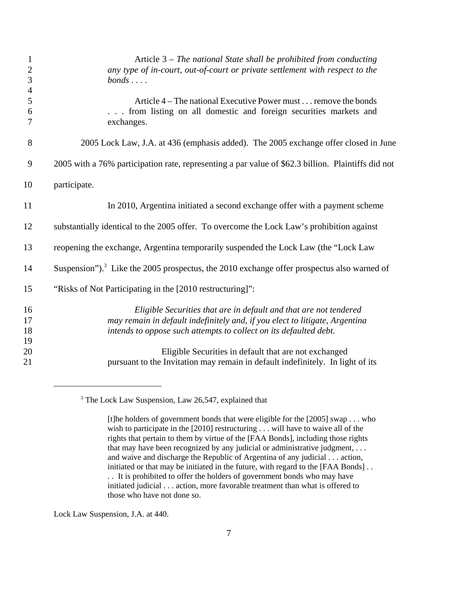| $\mathbf{1}$        | Article $3$ – The national State shall be prohibited from conducting                                   |
|---------------------|--------------------------------------------------------------------------------------------------------|
| $\overline{c}$<br>3 | any type of in-court, out-of-court or private settlement with respect to the<br>$bonds \ldots$ .       |
| $\overline{4}$      |                                                                                                        |
| 5                   | Article 4 – The national Executive Power must remove the bonds                                         |
| 6                   | from listing on all domestic and foreign securities markets and                                        |
| 7                   | exchanges.                                                                                             |
| 8                   | 2005 Lock Law, J.A. at 436 (emphasis added). The 2005 exchange offer closed in June                    |
| 9                   | 2005 with a 76% participation rate, representing a par value of \$62.3 billion. Plaintiffs did not     |
| 10                  | participate.                                                                                           |
| 11                  | In 2010, Argentina initiated a second exchange offer with a payment scheme                             |
| 12                  | substantially identical to the 2005 offer. To overcome the Lock Law's prohibition against              |
| 13                  | reopening the exchange, Argentina temporarily suspended the Lock Law (the "Lock Law                    |
| 14                  | Suspension"). <sup>3</sup> Like the 2005 prospectus, the 2010 exchange offer prospectus also warned of |
| 15                  | "Risks of Not Participating in the [2010 restructuring]":                                              |
| 16                  | Eligible Securities that are in default and that are not tendered                                      |
| 17                  | may remain in default indefinitely and, if you elect to litigate, Argentina                            |
| 18                  | intends to oppose such attempts to collect on its defaulted debt.                                      |
| 19                  |                                                                                                        |
| 20                  | Eligible Securities in default that are not exchanged                                                  |
| 21                  | pursuant to the Invitation may remain in default indefinitely. In light of its                         |

<sup>3</sup> The Lock Law Suspension, Law 26,547, explained that

[t]he holders of government bonds that were eligible for the [2005] swap . . . who wish to participate in the [2010] restructuring . . . will have to waive all of the rights that pertain to them by virtue of the [FAA Bonds], including those rights that may have been recognized by any judicial or administrative judgment, . . . and waive and discharge the Republic of Argentina of any judicial . . . action, initiated or that may be initiated in the future, with regard to the [FAA Bonds] . . . . It is prohibited to offer the holders of government bonds who may have initiated judicial . . . action, more favorable treatment than what is offered to those who have not done so.

Lock Law Suspension, J.A. at 440.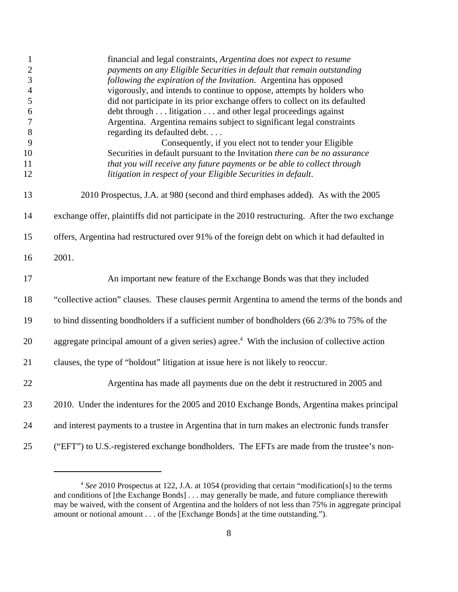| $\mathbf{1}$     | financial and legal constraints, Argentina does not expect to resume                                      |
|------------------|-----------------------------------------------------------------------------------------------------------|
| $\overline{2}$   | payments on any Eligible Securities in default that remain outstanding                                    |
| 3                | following the expiration of the Invitation. Argentina has opposed                                         |
| $\overline{4}$   | vigorously, and intends to continue to oppose, attempts by holders who                                    |
| 5                | did not participate in its prior exchange offers to collect on its defaulted                              |
| 6                | debt through litigation and other legal proceedings against                                               |
| $\boldsymbol{7}$ | Argentina. Argentina remains subject to significant legal constraints                                     |
| $8\,$            | regarding its defaulted debt                                                                              |
| $\overline{9}$   | Consequently, if you elect not to tender your Eligible                                                    |
| 10               | Securities in default pursuant to the Invitation there can be no assurance                                |
| 11               | that you will receive any future payments or be able to collect through                                   |
| 12               | litigation in respect of your Eligible Securities in default.                                             |
|                  |                                                                                                           |
| 13               | 2010 Prospectus, J.A. at 980 (second and third emphases added). As with the 2005                          |
| 14               | exchange offer, plaintiffs did not participate in the 2010 restructuring. After the two exchange          |
| 15               | offers, Argentina had restructured over 91% of the foreign debt on which it had defaulted in              |
| 16               | 2001.                                                                                                     |
| 17               | An important new feature of the Exchange Bonds was that they included                                     |
| 18               | "collective action" clauses. These clauses permit Argentina to amend the terms of the bonds and           |
| 19               | to bind dissenting bondholders if a sufficient number of bondholders (66 2/3% to 75% of the               |
| 20               | aggregate principal amount of a given series) agree. <sup>4</sup> With the inclusion of collective action |
| 21               | clauses, the type of "holdout" litigation at issue here is not likely to reoccur.                         |
| 22               | Argentina has made all payments due on the debt it restructured in 2005 and                               |
| 23               | 2010. Under the indentures for the 2005 and 2010 Exchange Bonds, Argentina makes principal                |
| 24               | and interest payments to a trustee in Argentina that in turn makes an electronic funds transfer           |
| 25               | ("EFT") to U.S.-registered exchange bondholders. The EFTs are made from the trustee's non-                |

 *See* 2010 Prospectus at 122, J.A. at 1054 (providing that certain "modification[s] to the terms and conditions of [the Exchange Bonds] . . . may generally be made, and future compliance therewith may be waived, with the consent of Argentina and the holders of not less than 75% in aggregate principal amount or notional amount . . . of the [Exchange Bonds] at the time outstanding.").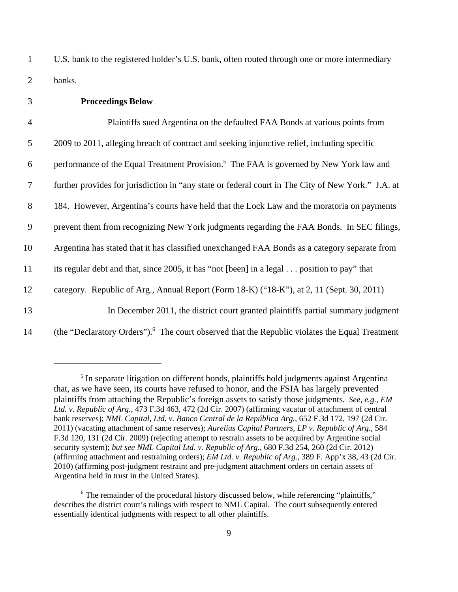1 U.S. bank to the registered holder's U.S. bank, often routed through one or more intermediary 2 banks.

## 3 **Proceedings Below**

| $\overline{4}$ | Plaintiffs sued Argentina on the defaulted FAA Bonds at various points from                                |
|----------------|------------------------------------------------------------------------------------------------------------|
| 5              | 2009 to 2011, alleging breach of contract and seeking injunctive relief, including specific                |
| 6              | performance of the Equal Treatment Provision. <sup>5</sup> The FAA is governed by New York law and         |
| $\overline{7}$ | further provides for jurisdiction in "any state or federal court in The City of New York." J.A. at         |
| 8              | 184. However, Argentina's courts have held that the Lock Law and the moratoria on payments                 |
| 9              | prevent them from recognizing New York judgments regarding the FAA Bonds. In SEC filings,                  |
| 10             | Argentina has stated that it has classified unexchanged FAA Bonds as a category separate from              |
| 11             | its regular debt and that, since 2005, it has "not [been] in a legal position to pay" that                 |
| 12             | category. Republic of Arg., Annual Report (Form 18-K) ("18-K"), at 2, 11 (Sept. 30, 2011)                  |
| 13             | In December 2011, the district court granted plaintiffs partial summary judgment                           |
| 14             | (the "Declaratory Orders"). <sup>6</sup> The court observed that the Republic violates the Equal Treatment |

<sup>&</sup>lt;sup>5</sup> In separate litigation on different bonds, plaintiffs hold judgments against Argentina that, as we have seen, its courts have refused to honor, and the FSIA has largely prevented plaintiffs from attaching the Republic's foreign assets to satisfy those judgments*. See, e.g.*, *EM Ltd. v. Republic of Arg.*, 473 F.3d 463, 472 (2d Cir. 2007) (affirming vacatur of attachment of central bank reserves); *NML Capital, Ltd. v. Banco Central de la República Arg.*, 652 F.3d 172, 197 (2d Cir. 2011) (vacating attachment of same reserves); *Aurelius Capital Partners, LP v. Republic of Arg.*, 584 F.3d 120, 131 (2d Cir. 2009) (rejecting attempt to restrain assets to be acquired by Argentine social security system); *but see NML Capital Ltd. v. Republic of Arg.*, 680 F.3d 254, 260 (2d Cir. 2012) (affirming attachment and restraining orders); *EM Ltd. v. Republic of Arg.*, 389 F. App'x 38, 43 (2d Cir. 2010) (affirming post-judgment restraint and pre-judgment attachment orders on certain assets of Argentina held in trust in the United States).

<sup>&</sup>lt;sup>6</sup> The remainder of the procedural history discussed below, while referencing "plaintiffs," describes the district court's rulings with respect to NML Capital. The court subsequently entered essentially identical judgments with respect to all other plaintiffs.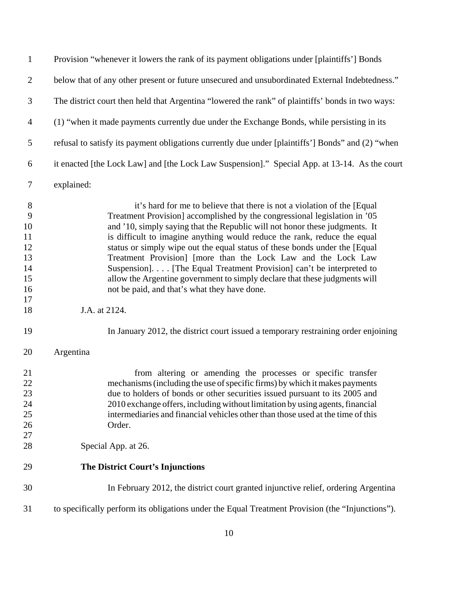| $\overline{2}$                                                                  | below that of any other present or future unsecured and unsubordinated External Indebtedness."                                                                                                                                                                                                                                                                                                                                                                                                                                                                                                                                                                                                                                                                              |
|---------------------------------------------------------------------------------|-----------------------------------------------------------------------------------------------------------------------------------------------------------------------------------------------------------------------------------------------------------------------------------------------------------------------------------------------------------------------------------------------------------------------------------------------------------------------------------------------------------------------------------------------------------------------------------------------------------------------------------------------------------------------------------------------------------------------------------------------------------------------------|
| 3                                                                               | The district court then held that Argentina "lowered the rank" of plaintiffs' bonds in two ways:                                                                                                                                                                                                                                                                                                                                                                                                                                                                                                                                                                                                                                                                            |
| $\overline{4}$                                                                  | (1) "when it made payments currently due under the Exchange Bonds, while persisting in its                                                                                                                                                                                                                                                                                                                                                                                                                                                                                                                                                                                                                                                                                  |
| 5                                                                               | refusal to satisfy its payment obligations currently due under [plaintiffs'] Bonds" and (2) "when                                                                                                                                                                                                                                                                                                                                                                                                                                                                                                                                                                                                                                                                           |
| 6                                                                               | it enacted [the Lock Law] and [the Lock Law Suspension]." Special App. at 13-14. As the court                                                                                                                                                                                                                                                                                                                                                                                                                                                                                                                                                                                                                                                                               |
| $\tau$                                                                          | explained:                                                                                                                                                                                                                                                                                                                                                                                                                                                                                                                                                                                                                                                                                                                                                                  |
| 8<br>$\overline{9}$<br>10<br>11<br>12<br>13<br>14<br>15<br>16<br>17<br>18<br>19 | it's hard for me to believe that there is not a violation of the [Equal]<br>Treatment Provision] accomplished by the congressional legislation in '05<br>and '10, simply saying that the Republic will not honor these judgments. It<br>is difficult to imagine anything would reduce the rank, reduce the equal<br>status or simply wipe out the equal status of these bonds under the [Equal<br>Treatment Provision] [more than the Lock Law and the Lock Law<br>Suspension] [The Equal Treatment Provision] can't be interpreted to<br>allow the Argentine government to simply declare that these judgments will<br>not be paid, and that's what they have done.<br>J.A. at 2124.<br>In January 2012, the district court issued a temporary restraining order enjoining |
| 20                                                                              | Argentina                                                                                                                                                                                                                                                                                                                                                                                                                                                                                                                                                                                                                                                                                                                                                                   |
| 21<br>22<br>23<br>24<br>25<br>26<br>27                                          | from altering or amending the processes or specific transfer<br>mechanisms (including the use of specific firms) by which it makes payments<br>due to holders of bonds or other securities issued pursuant to its 2005 and<br>2010 exchange offers, including without limitation by using agents, financial<br>intermediaries and financial vehicles other than those used at the time of this<br>Order.                                                                                                                                                                                                                                                                                                                                                                    |
| 28                                                                              | Special App. at 26.                                                                                                                                                                                                                                                                                                                                                                                                                                                                                                                                                                                                                                                                                                                                                         |
| 29                                                                              | <b>The District Court's Injunctions</b>                                                                                                                                                                                                                                                                                                                                                                                                                                                                                                                                                                                                                                                                                                                                     |
| 30                                                                              | In February 2012, the district court granted injunctive relief, ordering Argentina                                                                                                                                                                                                                                                                                                                                                                                                                                                                                                                                                                                                                                                                                          |
| 31                                                                              | to specifically perform its obligations under the Equal Treatment Provision (the "Injunctions").                                                                                                                                                                                                                                                                                                                                                                                                                                                                                                                                                                                                                                                                            |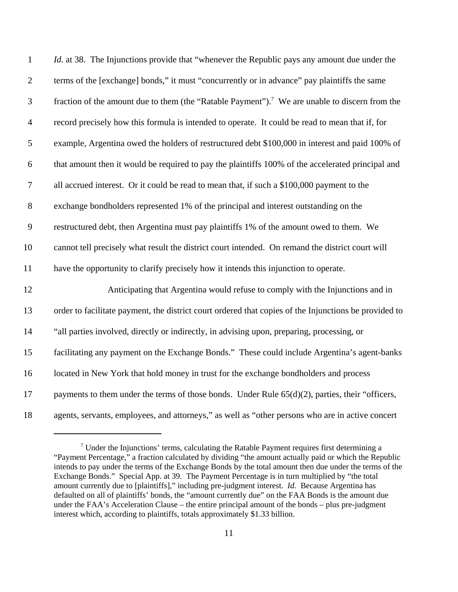| $\mathbf{1}$     | Id. at 38. The Injunctions provide that "whenever the Republic pays any amount due under the               |
|------------------|------------------------------------------------------------------------------------------------------------|
| $\overline{2}$   | terms of the [exchange] bonds," it must "concurrently or in advance" pay plaintiffs the same               |
| $\mathfrak{Z}$   | fraction of the amount due to them (the "Ratable Payment"). <sup>7</sup> We are unable to discern from the |
| $\overline{4}$   | record precisely how this formula is intended to operate. It could be read to mean that if, for            |
| $\mathfrak{S}$   | example, Argentina owed the holders of restructured debt \$100,000 in interest and paid 100% of            |
| $\boldsymbol{6}$ | that amount then it would be required to pay the plaintiffs 100% of the accelerated principal and          |
| $\boldsymbol{7}$ | all accrued interest. Or it could be read to mean that, if such a \$100,000 payment to the                 |
| $8\,$            | exchange bondholders represented 1% of the principal and interest outstanding on the                       |
| 9                | restructured debt, then Argentina must pay plaintiffs 1% of the amount owed to them. We                    |
| 10               | cannot tell precisely what result the district court intended. On remand the district court will           |
| 11               | have the opportunity to clarify precisely how it intends this injunction to operate.                       |
| 12               | Anticipating that Argentina would refuse to comply with the Injunctions and in                             |
| 13               | order to facilitate payment, the district court ordered that copies of the Injunctions be provided to      |
| 14               | "all parties involved, directly or indirectly, in advising upon, preparing, processing, or                 |
| 15               | facilitating any payment on the Exchange Bonds." These could include Argentina's agent-banks               |
| 16               | located in New York that hold money in trust for the exchange bondholders and process                      |
| 17               | payments to them under the terms of those bonds. Under Rule $65(d)(2)$ , parties, their "officers,         |
| 18               | agents, servants, employees, and attorneys," as well as "other persons who are in active concert           |

 $<sup>7</sup>$  Under the Injunctions' terms, calculating the Ratable Payment requires first determining a</sup> "Payment Percentage," a fraction calculated by dividing "the amount actually paid or which the Republic intends to pay under the terms of the Exchange Bonds by the total amount then due under the terms of the Exchange Bonds." Special App. at 39. The Payment Percentage is in turn multiplied by "the total amount currently due to [plaintiffs]," including pre-judgment interest. *Id.* Because Argentina has defaulted on all of plaintiffs' bonds, the "amount currently due" on the FAA Bonds is the amount due under the FAA's Acceleration Clause – the entire principal amount of the bonds – plus pre-judgment interest which, according to plaintiffs, totals approximately \$1.33 billion.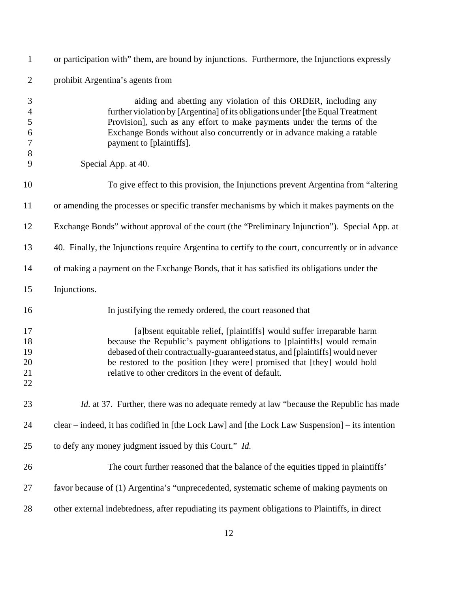| $\mathbf{1}$                                                          | or participation with" them, are bound by injunctions. Furthermore, the Injunctions expressly                                                                                                                                                                                                                                                                         |
|-----------------------------------------------------------------------|-----------------------------------------------------------------------------------------------------------------------------------------------------------------------------------------------------------------------------------------------------------------------------------------------------------------------------------------------------------------------|
| $\overline{2}$                                                        | prohibit Argentina's agents from                                                                                                                                                                                                                                                                                                                                      |
| 3<br>$\overline{4}$<br>5<br>$\boldsymbol{6}$<br>$\boldsymbol{7}$<br>8 | aiding and abetting any violation of this ORDER, including any<br>further violation by [Argentina] of its obligations under [the Equal Treatment]<br>Provision], such as any effort to make payments under the terms of the<br>Exchange Bonds without also concurrently or in advance making a ratable<br>payment to [plaintiffs].                                    |
| 9                                                                     | Special App. at 40.                                                                                                                                                                                                                                                                                                                                                   |
| 10                                                                    | To give effect to this provision, the Injunctions prevent Argentina from "altering"                                                                                                                                                                                                                                                                                   |
| 11                                                                    | or amending the processes or specific transfer mechanisms by which it makes payments on the                                                                                                                                                                                                                                                                           |
| 12                                                                    | Exchange Bonds" without approval of the court (the "Preliminary Injunction"). Special App. at                                                                                                                                                                                                                                                                         |
| 13                                                                    | 40. Finally, the Injunctions require Argentina to certify to the court, concurrently or in advance                                                                                                                                                                                                                                                                    |
| 14                                                                    | of making a payment on the Exchange Bonds, that it has satisfied its obligations under the                                                                                                                                                                                                                                                                            |
| 15                                                                    | Injunctions.                                                                                                                                                                                                                                                                                                                                                          |
| 16                                                                    | In justifying the remedy ordered, the court reasoned that                                                                                                                                                                                                                                                                                                             |
| 17<br>18<br>19<br>20<br>21<br>22                                      | [a]bsent equitable relief, [plaintiffs] would suffer irreparable harm<br>because the Republic's payment obligations to [plaintiffs] would remain<br>debased of their contractually-guaranteed status, and [plaintiffs] would never<br>be restored to the position [they were] promised that [they] would hold<br>relative to other creditors in the event of default. |
| 23                                                                    | <i>Id.</i> at 37. Further, there was no adequate remedy at law "because the Republic has made                                                                                                                                                                                                                                                                         |
| 24                                                                    | clear – indeed, it has codified in [the Lock Law] and [the Lock Law Suspension] – its intention                                                                                                                                                                                                                                                                       |
| 25                                                                    | to defy any money judgment issued by this Court." Id.                                                                                                                                                                                                                                                                                                                 |
| 26                                                                    | The court further reasoned that the balance of the equities tipped in plaintiffs'                                                                                                                                                                                                                                                                                     |
| 27                                                                    | favor because of (1) Argentina's "unprecedented, systematic scheme of making payments on                                                                                                                                                                                                                                                                              |
| 28                                                                    | other external indebtedness, after repudiating its payment obligations to Plaintiffs, in direct                                                                                                                                                                                                                                                                       |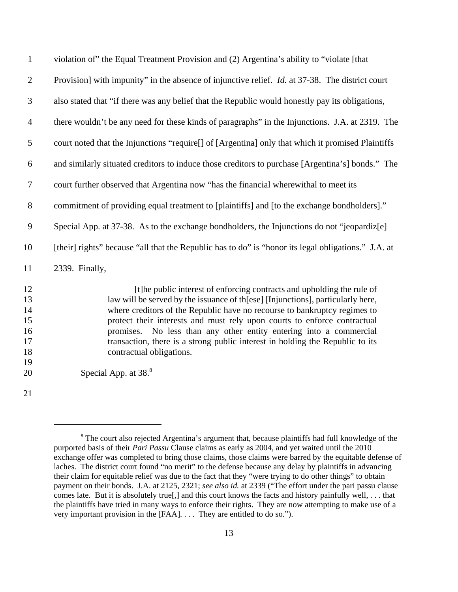| $\mathbf{1}$                                 | violation of the Equal Treatment Provision and (2) Argentina's ability to "violate [that                                                                                                                                                                                                                                                                                                                                                                                                                 |
|----------------------------------------------|----------------------------------------------------------------------------------------------------------------------------------------------------------------------------------------------------------------------------------------------------------------------------------------------------------------------------------------------------------------------------------------------------------------------------------------------------------------------------------------------------------|
| $\mathbf{2}$                                 | Provision] with impunity" in the absence of injunctive relief. <i>Id.</i> at 37-38. The district court                                                                                                                                                                                                                                                                                                                                                                                                   |
| $\mathfrak{Z}$                               | also stated that "if there was any belief that the Republic would honestly pay its obligations,                                                                                                                                                                                                                                                                                                                                                                                                          |
| $\overline{4}$                               | there wouldn't be any need for these kinds of paragraphs" in the Injunctions. J.A. at 2319. The                                                                                                                                                                                                                                                                                                                                                                                                          |
| 5                                            | court noted that the Injunctions "require[] of [Argentina] only that which it promised Plaintiffs                                                                                                                                                                                                                                                                                                                                                                                                        |
| 6                                            | and similarly situated creditors to induce those creditors to purchase [Argentina's] bonds." The                                                                                                                                                                                                                                                                                                                                                                                                         |
| $\boldsymbol{7}$                             | court further observed that Argentina now "has the financial wherewithal to meet its                                                                                                                                                                                                                                                                                                                                                                                                                     |
| $8\,$                                        | commitment of providing equal treatment to [plaintiffs] and [to the exchange bondholders]."                                                                                                                                                                                                                                                                                                                                                                                                              |
| $\mathbf{9}$                                 | Special App. at 37-38. As to the exchange bondholders, the Injunctions do not "jeopardiz[e]                                                                                                                                                                                                                                                                                                                                                                                                              |
| 10                                           | [their] rights" because "all that the Republic has to do" is "honor its legal obligations." J.A. at                                                                                                                                                                                                                                                                                                                                                                                                      |
| 11                                           | 2339. Finally,                                                                                                                                                                                                                                                                                                                                                                                                                                                                                           |
| 12<br>13<br>14<br>15<br>16<br>17<br>18<br>19 | [t]he public interest of enforcing contracts and upholding the rule of<br>law will be served by the issuance of th[ese] [Injunctions], particularly here,<br>where creditors of the Republic have no recourse to bankruptcy regimes to<br>protect their interests and must rely upon courts to enforce contractual<br>No less than any other entity entering into a commercial<br>promises.<br>transaction, there is a strong public interest in holding the Republic to its<br>contractual obligations. |
| 20                                           | Special App. at 38.8                                                                                                                                                                                                                                                                                                                                                                                                                                                                                     |
| 21                                           |                                                                                                                                                                                                                                                                                                                                                                                                                                                                                                          |
|                                              |                                                                                                                                                                                                                                                                                                                                                                                                                                                                                                          |

<sup>&</sup>lt;sup>8</sup> The court also rejected Argentina's argument that, because plaintiffs had full knowledge of the purported basis of their *Pari Passu* Clause claims as early as 2004, and yet waited until the 2010 exchange offer was completed to bring those claims, those claims were barred by the equitable defense of laches. The district court found "no merit" to the defense because any delay by plaintiffs in advancing their claim for equitable relief was due to the fact that they "were trying to do other things" to obtain payment on their bonds. J.A. at 2125, 2321; *see also id.* at 2339 ("The effort under the pari passu clause comes late. But it is absolutely true[,] and this court knows the facts and history painfully well, . . . that the plaintiffs have tried in many ways to enforce their rights. They are now attempting to make use of a very important provision in the [FAA]. . . . They are entitled to do so.").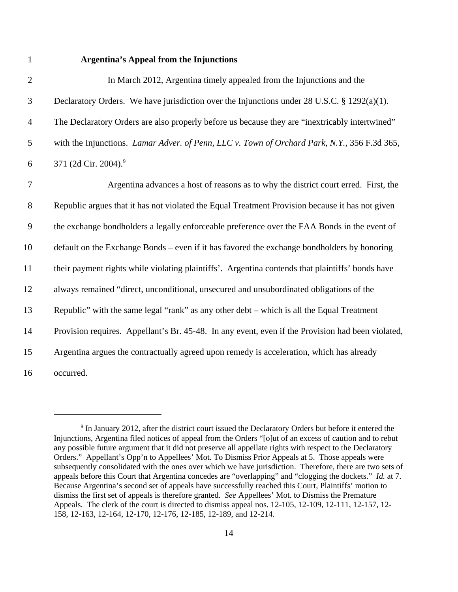## **Argentina's Appeal from the Injunctions**

| $\mathbf{2}$   | In March 2012, Argentina timely appealed from the Injunctions and the                             |
|----------------|---------------------------------------------------------------------------------------------------|
| 3              | Declaratory Orders. We have jurisdiction over the Injunctions under 28 U.S.C. § 1292(a)(1).       |
| $\overline{4}$ | The Declaratory Orders are also properly before us because they are "inextricably intertwined"    |
| 5              | with the Injunctions. Lamar Adver. of Penn, LLC v. Town of Orchard Park, N.Y., 356 F.3d 365,      |
| 6              | 371 (2d Cir. 2004). <sup>9</sup>                                                                  |
| $\overline{7}$ | Argentina advances a host of reasons as to why the district court erred. First, the               |
| $8\,$          | Republic argues that it has not violated the Equal Treatment Provision because it has not given   |
| 9              | the exchange bondholders a legally enforceable preference over the FAA Bonds in the event of      |
| 10             | default on the Exchange Bonds – even if it has favored the exchange bondholders by honoring       |
| 11             | their payment rights while violating plaintiffs'. Argentina contends that plaintiffs' bonds have  |
| 12             | always remained "direct, unconditional, unsecured and unsubordinated obligations of the           |
| 13             | Republic" with the same legal "rank" as any other debt – which is all the Equal Treatment         |
| 14             | Provision requires. Appellant's Br. 45-48. In any event, even if the Provision had been violated, |
| 15             | Argentina argues the contractually agreed upon remedy is acceleration, which has already          |
| 16             | occurred.                                                                                         |

<sup>&</sup>lt;sup>9</sup> In January 2012, after the district court issued the Declaratory Orders but before it entered the Injunctions, Argentina filed notices of appeal from the Orders "[o]ut of an excess of caution and to rebut any possible future argument that it did not preserve all appellate rights with respect to the Declaratory Orders." Appellant's Opp'n to Appellees' Mot. To Dismiss Prior Appeals at 5. Those appeals were subsequently consolidated with the ones over which we have jurisdiction. Therefore, there are two sets of appeals before this Court that Argentina concedes are "overlapping" and "clogging the dockets." *Id.* at 7. Because Argentina's second set of appeals have successfully reached this Court, Plaintiffs' motion to dismiss the first set of appeals is therefore granted. *See* Appellees' Mot. to Dismiss the Premature Appeals. The clerk of the court is directed to dismiss appeal nos. 12-105, 12-109, 12-111, 12-157, 12- 158, 12-163, 12-164, 12-170, 12-176, 12-185, 12-189, and 12-214.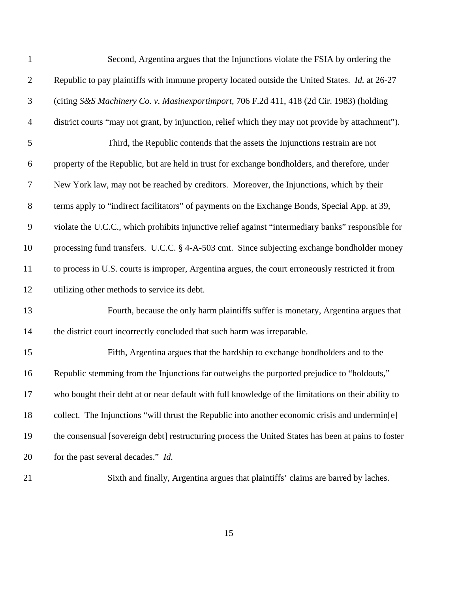| $\mathbf{1}$   | Second, Argentina argues that the Injunctions violate the FSIA by ordering the                      |
|----------------|-----------------------------------------------------------------------------------------------------|
| $\overline{2}$ | Republic to pay plaintiffs with immune property located outside the United States. Id. at 26-27     |
| $\mathfrak{Z}$ | (citing S&S Machinery Co. v. Masinexportimport, 706 F.2d 411, 418 (2d Cir. 1983) (holding           |
| 4              | district courts "may not grant, by injunction, relief which they may not provide by attachment").   |
| 5              | Third, the Republic contends that the assets the Injunctions restrain are not                       |
| 6              | property of the Republic, but are held in trust for exchange bondholders, and therefore, under      |
| $\tau$         | New York law, may not be reached by creditors. Moreover, the Injunctions, which by their            |
| 8              | terms apply to "indirect facilitators" of payments on the Exchange Bonds, Special App. at 39,       |
| 9              | violate the U.C.C., which prohibits injunctive relief against "intermediary banks" responsible for  |
| 10             | processing fund transfers. U.C.C. § 4-A-503 cmt. Since subjecting exchange bondholder money         |
| 11             | to process in U.S. courts is improper, Argentina argues, the court erroneously restricted it from   |
| 12             | utilizing other methods to service its debt.                                                        |
| 13             | Fourth, because the only harm plaintiffs suffer is monetary, Argentina argues that                  |
| 14             | the district court incorrectly concluded that such harm was irreparable.                            |
| 15             | Fifth, Argentina argues that the hardship to exchange bondholders and to the                        |
| 16             | Republic stemming from the Injunctions far outweighs the purported prejudice to "holdouts,"         |
| 17             | who bought their debt at or near default with full knowledge of the limitations on their ability to |
| 18             | collect. The Injunctions "will thrust the Republic into another economic crisis and undermin[e]     |
| 19             | the consensual [sovereign debt] restructuring process the United States has been at pains to foster |
| 20             | for the past several decades." Id.                                                                  |
| 21             | Sixth and finally, Argentina argues that plaintiffs' claims are barred by laches.                   |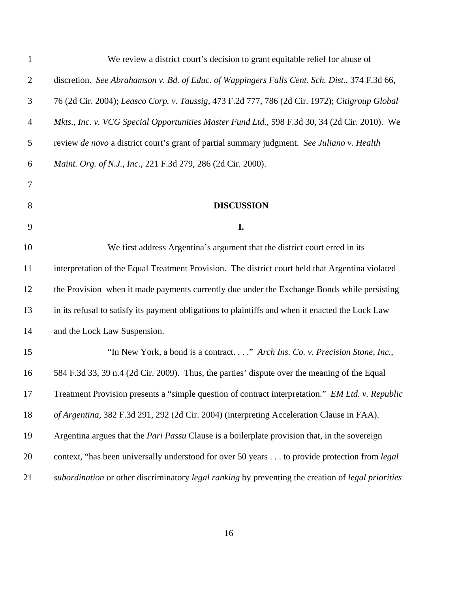| $\mathbf{1}$   | We review a district court's decision to grant equitable relief for abuse of                         |
|----------------|------------------------------------------------------------------------------------------------------|
| $\overline{2}$ | discretion. See Abrahamson v. Bd. of Educ. of Wappingers Falls Cent. Sch. Dist., 374 F.3d 66,        |
| $\mathfrak{Z}$ | 76 (2d Cir. 2004); Leasco Corp. v. Taussig, 473 F.2d 777, 786 (2d Cir. 1972); Citigroup Global       |
| $\overline{4}$ | Mkts., Inc. v. VCG Special Opportunities Master Fund Ltd., 598 F.3d 30, 34 (2d Cir. 2010). We        |
| 5              | review de novo a district court's grant of partial summary judgment. See Juliano v. Health           |
| 6              | Maint. Org. of N.J., Inc., 221 F.3d 279, 286 (2d Cir. 2000).                                         |
| 7              |                                                                                                      |
| 8              | <b>DISCUSSION</b>                                                                                    |
| 9              | I.                                                                                                   |
| 10             | We first address Argentina's argument that the district court erred in its                           |
| 11             | interpretation of the Equal Treatment Provision. The district court held that Argentina violated     |
| 12             | the Provision when it made payments currently due under the Exchange Bonds while persisting          |
| 13             | in its refusal to satisfy its payment obligations to plaintiffs and when it enacted the Lock Law     |
| 14             | and the Lock Law Suspension.                                                                         |
| 15             | "In New York, a bond is a contract" Arch Ins. Co. v. Precision Stone, Inc.,                          |
| 16             | 584 F.3d 33, 39 n.4 (2d Cir. 2009). Thus, the parties' dispute over the meaning of the Equal         |
| 17             | Treatment Provision presents a "simple question of contract interpretation." EM Ltd. v. Republic     |
| 18             | of Argentina, 382 F.3d 291, 292 (2d Cir. 2004) (interpreting Acceleration Clause in FAA).            |
| 19             | Argentina argues that the <i>Pari Passu</i> Clause is a boilerplate provision that, in the sovereign |
| 20             | context, "has been universally understood for over 50 years to provide protection from <i>legal</i>  |
| 21             | subordination or other discriminatory legal ranking by preventing the creation of legal priorities   |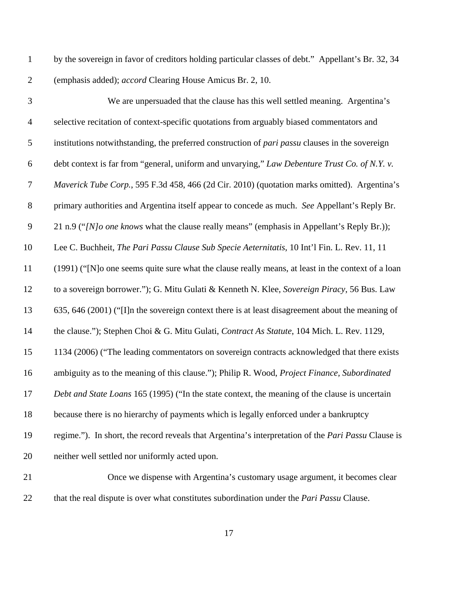by the sovereign in favor of creditors holding particular classes of debt." Appellant's Br. 32, 34 (emphasis added); *accord* Clearing House Amicus Br. 2, 10.

| $\mathfrak{Z}$ | We are unpersuaded that the clause has this well settled meaning. Argentina's                              |
|----------------|------------------------------------------------------------------------------------------------------------|
| $\overline{4}$ | selective recitation of context-specific quotations from arguably biased commentators and                  |
| 5              | institutions notwithstanding, the preferred construction of <i>pari passu</i> clauses in the sovereign     |
| 6              | debt context is far from "general, uniform and unvarying," Law Debenture Trust Co. of N.Y. v.              |
| $\overline{7}$ | Maverick Tube Corp., 595 F.3d 458, 466 (2d Cir. 2010) (quotation marks omitted). Argentina's               |
| $8\,$          | primary authorities and Argentina itself appear to concede as much. See Appellant's Reply Br.              |
| $\mathbf{9}$   | 21 n.9 ("[N]o one knows what the clause really means" (emphasis in Appellant's Reply Br.));                |
| 10             | Lee C. Buchheit, The Pari Passu Clause Sub Specie Aeternitatis, 10 Int'l Fin. L. Rev. 11, 11               |
| 11             | (1991) ("[N]o one seems quite sure what the clause really means, at least in the context of a loan         |
| 12             | to a sovereign borrower."); G. Mitu Gulati & Kenneth N. Klee, Sovereign Piracy, 56 Bus. Law                |
| 13             | 635, 646 (2001) ("I]n the sovereign context there is at least disagreement about the meaning of            |
| 14             | the clause."); Stephen Choi & G. Mitu Gulati, Contract As Statute, 104 Mich. L. Rev. 1129,                 |
| 15             | 1134 (2006) ("The leading commentators on sovereign contracts acknowledged that there exists               |
| 16             | ambiguity as to the meaning of this clause."); Philip R. Wood, Project Finance, Subordinated               |
| 17             | Debt and State Loans 165 (1995) ("In the state context, the meaning of the clause is uncertain             |
| 18             | because there is no hierarchy of payments which is legally enforced under a bankruptcy                     |
| 19             | regime."). In short, the record reveals that Argentina's interpretation of the <i>Pari Passu</i> Clause is |
| 20             | neither well settled nor uniformly acted upon.                                                             |
| 21             | Once we dispense with Argentina's customary usage argument it becomes clear                                |

 Once we dispense with Argentina's customary usage argument, it becomes clear that the real dispute is over what constitutes subordination under the *Pari Passu* Clause.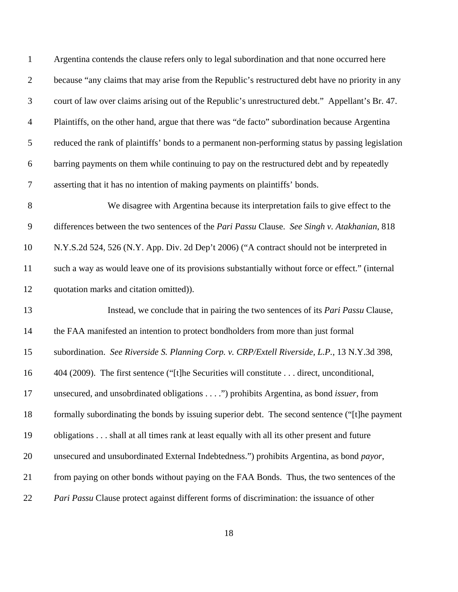| $\mathbf{1}$   | Argentina contends the clause refers only to legal subordination and that none occurred here      |
|----------------|---------------------------------------------------------------------------------------------------|
| $\overline{2}$ | because "any claims that may arise from the Republic's restructured debt have no priority in any  |
| $\mathfrak{Z}$ | court of law over claims arising out of the Republic's unrestructured debt." Appellant's Br. 47.  |
| $\overline{4}$ | Plaintiffs, on the other hand, argue that there was "de facto" subordination because Argentina    |
| $\sqrt{5}$     | reduced the rank of plaintiffs' bonds to a permanent non-performing status by passing legislation |
| 6              | barring payments on them while continuing to pay on the restructured debt and by repeatedly       |
| $\tau$         | asserting that it has no intention of making payments on plaintiffs' bonds.                       |
| $8\,$          | We disagree with Argentina because its interpretation fails to give effect to the                 |
| $\overline{9}$ | differences between the two sentences of the Pari Passu Clause. See Singh v. Atakhanian, 818      |
| 10             | N.Y.S.2d 524, 526 (N.Y. App. Div. 2d Dep't 2006) ("A contract should not be interpreted in        |
| 11             | such a way as would leave one of its provisions substantially without force or effect." (internal |
| 12             | quotation marks and citation omitted)).                                                           |
| 13             | Instead, we conclude that in pairing the two sentences of its <i>Pari Passu</i> Clause,           |
| 14             | the FAA manifested an intention to protect bondholders from more than just formal                 |
| 15             | subordination. See Riverside S. Planning Corp. v. CRP/Extell Riverside, L.P., 13 N.Y.3d 398,      |
| 16             | 404 (2009). The first sentence ("[t]he Securities will constitute direct, unconditional,          |
| 17             | unsecured, and unsobrdinated obligations") prohibits Argentina, as bond <i>issuer</i> , from      |
| 18             | formally subordinating the bonds by issuing superior debt. The second sentence ("[t]he payment    |
| 19             | obligations shall at all times rank at least equally with all its other present and future        |
| 20             | unsecured and unsubordinated External Indebtedness.") prohibits Argentina, as bond payor,         |
| 21             | from paying on other bonds without paying on the FAA Bonds. Thus, the two sentences of the        |
| 22             | Pari Passu Clause protect against different forms of discrimination: the issuance of other        |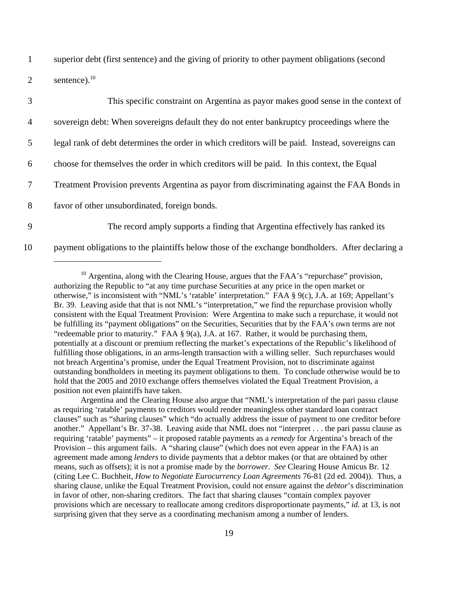1 superior debt (first sentence) and the giving of priority to other payment obligations (second

2 sentence). $^{10}$ 

|                | This specific constraint on Argentina as payor makes good sense in the context of                |
|----------------|--------------------------------------------------------------------------------------------------|
| $\overline{4}$ | sovereign debt: When sovereigns default they do not enter bankruptcy proceedings where the       |
| 5              | legal rank of debt determines the order in which creditors will be paid. Instead, sovereigns can |
| 6              | choose for themselves the order in which creditors will be paid. In this context, the Equal      |
|                | Treatment Provision prevents Argentina as payor from discriminating against the FAA Bonds in     |
| 8              | favor of other unsubordinated, foreign bonds.                                                    |
| 9              | The record amply supports a finding that Argentina effectively has ranked its                    |

10 payment obligations to the plaintiffs below those of the exchange bondholders. After declaring a

 $10$  Argentina, along with the Clearing House, argues that the FAA's "repurchase" provision, authorizing the Republic to "at any time purchase Securities at any price in the open market or otherwise," is inconsistent with "NML's 'ratable' interpretation." FAA § 9(c), J.A. at 169; Appellant's Br. 39. Leaving aside that that is not NML's "interpretation," we find the repurchase provision wholly consistent with the Equal Treatment Provision: Were Argentina to make such a repurchase, it would not be fulfilling its "payment obligations" on the Securities, Securities that by the FAA's own terms are not "redeemable prior to maturity." FAA  $\S$  9(a), J.A. at 167. Rather, it would be purchasing them, potentially at a discount or premium reflecting the market's expectations of the Republic's likelihood of fulfilling those obligations, in an arms-length transaction with a willing seller. Such repurchases would not breach Argentina's promise, under the Equal Treatment Provision, not to discriminate against outstanding bondholders in meeting its payment obligations to them. To conclude otherwise would be to hold that the 2005 and 2010 exchange offers themselves violated the Equal Treatment Provision, a position not even plaintiffs have taken.

Argentina and the Clearing House also argue that "NML's interpretation of the pari passu clause as requiring 'ratable' payments to creditors would render meaningless other standard loan contract clauses" such as "sharing clauses" which "do actually address the issue of payment to one creditor before another." Appellant's Br. 37-38. Leaving aside that NML does not "interpret . . . the pari passu clause as requiring 'ratable' payments" – it proposed ratable payments as a *remedy* for Argentina's breach of the Provision – this argument fails. A "sharing clause" (which does not even appear in the FAA) is an agreement made among *lenders* to divide payments that a debtor makes (or that are obtained by other means, such as offsets); it is not a promise made by the *borrower*. *See* Clearing House Amicus Br. 12 (citing Lee C. Buchheit, *How to Negotiate Eurocurrency Loan Agreements* 76-81 (2d ed. 2004)). Thus, a sharing clause, unlike the Equal Treatment Provision, could not ensure against the *debtor*'s discrimination in favor of other, non-sharing creditors. The fact that sharing clauses "contain complex payover provisions which are necessary to reallocate among creditors disproportionate payments," *id.* at 13, is not surprising given that they serve as a coordinating mechanism among a number of lenders.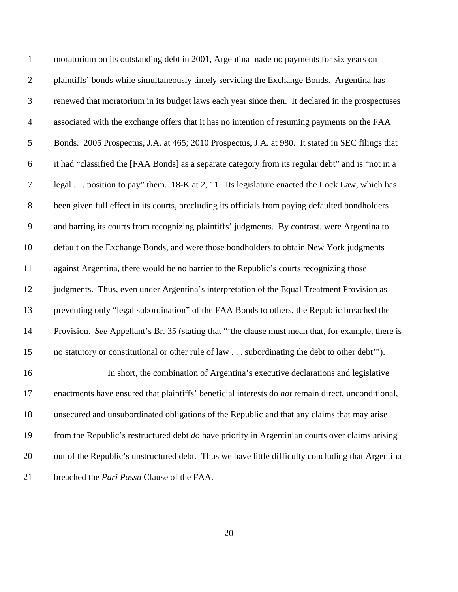| $\mathbf{1}$   | moratorium on its outstanding debt in 2001, Argentina made no payments for six years on                   |
|----------------|-----------------------------------------------------------------------------------------------------------|
| $\overline{2}$ | plaintiffs' bonds while simultaneously timely servicing the Exchange Bonds. Argentina has                 |
| 3              | renewed that moratorium in its budget laws each year since then. It declared in the prospectuses          |
| $\overline{4}$ | associated with the exchange offers that it has no intention of resuming payments on the FAA              |
| 5              | Bonds. 2005 Prospectus, J.A. at 465; 2010 Prospectus, J.A. at 980. It stated in SEC filings that          |
| 6              | it had "classified the [FAA Bonds] as a separate category from its regular debt" and is "not in a         |
| 7              | legal position to pay" them. 18-K at 2, 11. Its legislature enacted the Lock Law, which has               |
| $8\,$          | been given full effect in its courts, precluding its officials from paying defaulted bondholders          |
| $\overline{9}$ | and barring its courts from recognizing plaintiffs' judgments. By contrast, were Argentina to             |
| 10             | default on the Exchange Bonds, and were those bondholders to obtain New York judgments                    |
| 11             | against Argentina, there would be no barrier to the Republic's courts recognizing those                   |
| 12             | judgments. Thus, even under Argentina's interpretation of the Equal Treatment Provision as                |
| 13             | preventing only "legal subordination" of the FAA Bonds to others, the Republic breached the               |
| 14             | Provision. See Appellant's Br. 35 (stating that "'the clause must mean that, for example, there is        |
| 15             | no statutory or constitutional or other rule of law subordinating the debt to other debt").               |
| 16             | In short, the combination of Argentina's executive declarations and legislative                           |
| 17             | enactments have ensured that plaintiffs' beneficial interests do <i>not</i> remain direct, unconditional, |
| 18             | unsecured and unsubordinated obligations of the Republic and that any claims that may arise               |
| 19             | from the Republic's restructured debt $do$ have priority in Argentinian courts over claims arising        |
| 20             | out of the Republic's unstructured debt. Thus we have little difficulty concluding that Argentina         |
| 21             | breached the <i>Pari Passu</i> Clause of the FAA.                                                         |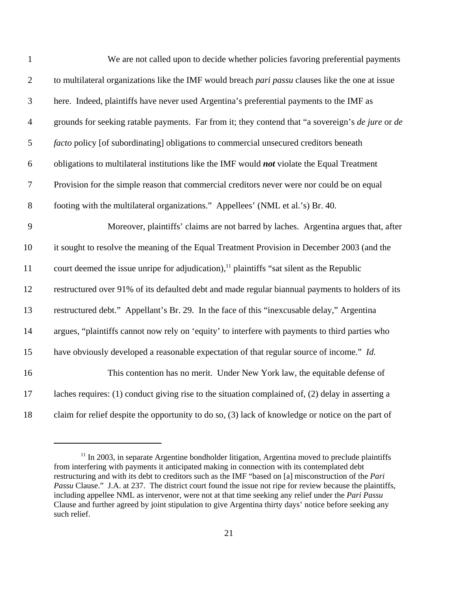| $\mathbf{1}$   | We are not called upon to decide whether policies favoring preferential payments                      |
|----------------|-------------------------------------------------------------------------------------------------------|
| $\overline{2}$ | to multilateral organizations like the IMF would breach pari passu clauses like the one at issue      |
| $\mathfrak{Z}$ | here. Indeed, plaintiffs have never used Argentina's preferential payments to the IMF as              |
| $\overline{4}$ | grounds for seeking ratable payments. Far from it; they contend that "a sovereign's de jure or de     |
| 5              | <i>facto</i> policy [of subordinating] obligations to commercial unsecured creditors beneath          |
| 6              | obligations to multilateral institutions like the IMF would not violate the Equal Treatment           |
| $\tau$         | Provision for the simple reason that commercial creditors never were nor could be on equal            |
| 8              | footing with the multilateral organizations." Appellees' (NML et al.'s) Br. 40.                       |
| 9              | Moreover, plaintiffs' claims are not barred by laches. Argentina argues that, after                   |
| 10             | it sought to resolve the meaning of the Equal Treatment Provision in December 2003 (and the           |
| 11             | court deemed the issue unripe for adjudication), <sup>11</sup> plaintiffs "sat silent as the Republic |
| 12             | restructured over 91% of its defaulted debt and made regular biannual payments to holders of its      |
| 13             | restructured debt." Appellant's Br. 29. In the face of this "inexcusable delay," Argentina            |
| 14             | argues, "plaintiffs cannot now rely on 'equity' to interfere with payments to third parties who       |
| 15             | have obviously developed a reasonable expectation of that regular source of income." Id.              |
| 16             | This contention has no merit. Under New York law, the equitable defense of                            |
| 17             | laches requires: (1) conduct giving rise to the situation complained of, (2) delay in asserting a     |
| 18             | claim for relief despite the opportunity to do so, (3) lack of knowledge or notice on the part of     |

 In 2003, in separate Argentine bondholder litigation, Argentina moved to preclude plaintiffs from interfering with payments it anticipated making in connection with its contemplated debt restructuring and with its debt to creditors such as the IMF "based on [a] misconstruction of the *Pari Passu* Clause." J.A. at 237. The district court found the issue not ripe for review because the plaintiffs, including appellee NML as intervenor, were not at that time seeking any relief under the *Pari Passu* Clause and further agreed by joint stipulation to give Argentina thirty days' notice before seeking any such relief.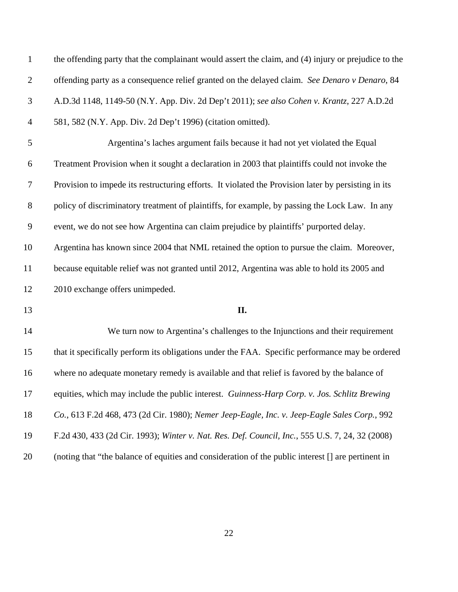| $\mathbf{1}$   | the offending party that the complainant would assert the claim, and (4) injury or prejudice to the |
|----------------|-----------------------------------------------------------------------------------------------------|
| $\overline{2}$ | offending party as a consequence relief granted on the delayed claim. See Denaro v Denaro, 84       |
| $\mathfrak{Z}$ | A.D.3d 1148, 1149-50 (N.Y. App. Div. 2d Dep't 2011); see also Cohen v. Krantz, 227 A.D.2d           |
| $\overline{4}$ | 581, 582 (N.Y. App. Div. 2d Dep't 1996) (citation omitted).                                         |
| 5              | Argentina's laches argument fails because it had not yet violated the Equal                         |
| 6              | Treatment Provision when it sought a declaration in 2003 that plaintiffs could not invoke the       |
| $\tau$         | Provision to impede its restructuring efforts. It violated the Provision later by persisting in its |
| $\,8\,$        | policy of discriminatory treatment of plaintiffs, for example, by passing the Lock Law. In any      |
| $\overline{9}$ | event, we do not see how Argentina can claim prejudice by plaintiffs' purported delay.              |
| 10             | Argentina has known since 2004 that NML retained the option to pursue the claim. Moreover,          |
| 11             | because equitable relief was not granted until 2012, Argentina was able to hold its 2005 and        |
| 12             | 2010 exchange offers unimpeded.                                                                     |
| 13             | П.                                                                                                  |
| 14             | We turn now to Argentina's challenges to the Injunctions and their requirement                      |
| 15             | that it specifically perform its obligations under the FAA. Specific performance may be ordered     |
| 16             | where no adequate monetary remedy is available and that relief is favored by the balance of         |
| 17             | equities, which may include the public interest. Guinness-Harp Corp. v. Jos. Schlitz Brewing        |
| 18             | Co., 613 F.2d 468, 473 (2d Cir. 1980); Nemer Jeep-Eagle, Inc. v. Jeep-Eagle Sales Corp., 992        |
| 19             | F.2d 430, 433 (2d Cir. 1993); Winter v. Nat. Res. Def. Council, Inc., 555 U.S. 7, 24, 32 (2008)     |
| 20             | (noting that "the balance of equities and consideration of the public interest [] are pertinent in  |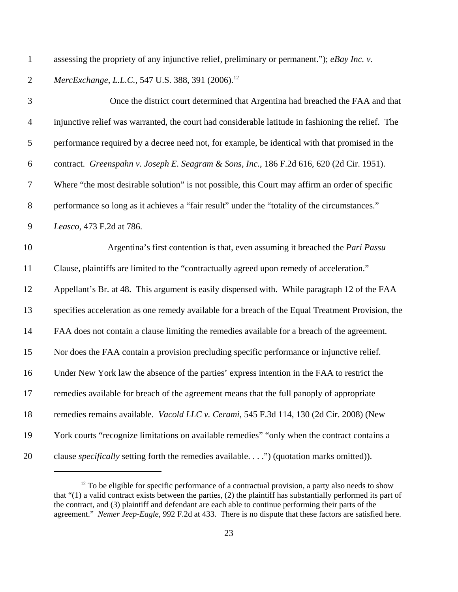assessing the propriety of any injunctive relief, preliminary or permanent."); *eBay Inc. v.*

2 MercExchange, L.L.C., 547 U.S. 388, 391 (2006).<sup>12</sup>

| 3              | Once the district court determined that Argentina had breached the FAA and that                    |
|----------------|----------------------------------------------------------------------------------------------------|
| $\overline{4}$ | injunctive relief was warranted, the court had considerable latitude in fashioning the relief. The |
| 5              | performance required by a decree need not, for example, be identical with that promised in the     |
| $6\,$          | contract. Greenspahn v. Joseph E. Seagram & Sons, Inc., 186 F.2d 616, 620 (2d Cir. 1951).          |
| $\tau$         | Where "the most desirable solution" is not possible, this Court may affirm an order of specific    |
| $8\,$          | performance so long as it achieves a "fair result" under the "totality of the circumstances."      |
| $\mathbf{9}$   | Leasco, 473 F.2d at 786.                                                                           |
| 10             | Argentina's first contention is that, even assuming it breached the <i>Pari Passu</i>              |
| 11             | Clause, plaintiffs are limited to the "contractually agreed upon remedy of acceleration."          |
| 12             | Appellant's Br. at 48. This argument is easily dispensed with. While paragraph 12 of the FAA       |
| 13             | specifies acceleration as one remedy available for a breach of the Equal Treatment Provision, the  |
| 14             | FAA does not contain a clause limiting the remedies available for a breach of the agreement.       |
| 15             | Nor does the FAA contain a provision precluding specific performance or injunctive relief.         |
| 16             | Under New York law the absence of the parties' express intention in the FAA to restrict the        |
| 17             | remedies available for breach of the agreement means that the full panoply of appropriate          |
| 18             | remedies remains available. Vacold LLC v. Cerami, 545 F.3d 114, 130 (2d Cir. 2008) (New            |
| 19             | York courts "recognize limitations on available remedies" "only when the contract contains a       |
| 20             | clause specifically setting forth the remedies available.") (quotation marks omitted)).            |

 To be eligible for specific performance of a contractual provision, a party also needs to show that "(1) a valid contract exists between the parties, (2) the plaintiff has substantially performed its part of the contract, and (3) plaintiff and defendant are each able to continue performing their parts of the agreement." *Nemer Jeep-Eagle*, 992 F.2d at 433. There is no dispute that these factors are satisfied here.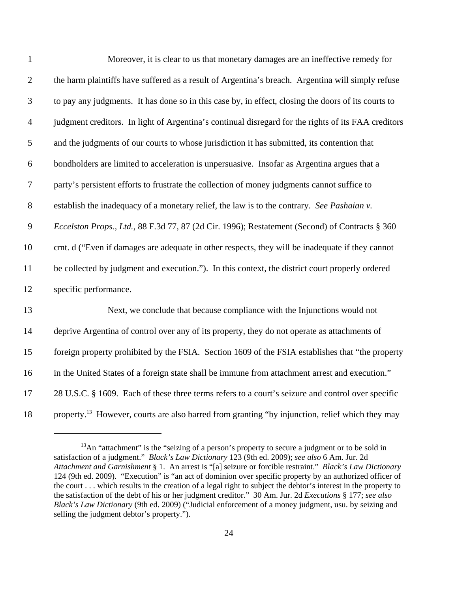| $\mathbf{1}$     | Moreover, it is clear to us that monetary damages are an ineffective remedy for                             |
|------------------|-------------------------------------------------------------------------------------------------------------|
| $\overline{2}$   | the harm plaintiffs have suffered as a result of Argentina's breach. Argentina will simply refuse           |
| 3                | to pay any judgments. It has done so in this case by, in effect, closing the doors of its courts to         |
| $\overline{4}$   | judgment creditors. In light of Argentina's continual disregard for the rights of its FAA creditors         |
| 5                | and the judgments of our courts to whose jurisdiction it has submitted, its contention that                 |
| 6                | bondholders are limited to acceleration is unpersuasive. Insofar as Argentina argues that a                 |
| $\boldsymbol{7}$ | party's persistent efforts to frustrate the collection of money judgments cannot suffice to                 |
| $8\,$            | establish the inadequacy of a monetary relief, the law is to the contrary. See Pashaian v.                  |
| 9                | Eccelston Props., Ltd., 88 F.3d 77, 87 (2d Cir. 1996); Restatement (Second) of Contracts § 360              |
| 10               | cmt. d ("Even if damages are adequate in other respects, they will be inadequate if they cannot             |
| 11               | be collected by judgment and execution."). In this context, the district court properly ordered             |
| 12               | specific performance.                                                                                       |
| 13               | Next, we conclude that because compliance with the Injunctions would not                                    |
| 14               | deprive Argentina of control over any of its property, they do not operate as attachments of                |
| 15               | foreign property prohibited by the FSIA. Section 1609 of the FSIA establishes that "the property            |
| 16               | in the United States of a foreign state shall be immune from attachment arrest and execution."              |
| 17               | 28 U.S.C. § 1609. Each of these three terms refers to a court's seizure and control over specific           |
| 18               | property. <sup>13</sup> However, courts are also barred from granting "by injunction, relief which they may |

An "attachment" is the "seizing of a person's property to secure a judgment or to be sold in satisfaction of a judgment." *Black's Law Dictionary* 123 (9th ed. 2009); *see also* 6 Am. Jur. 2d *Attachment and Garnishment* § 1. An arrest is "[a] seizure or forcible restraint." *Black's Law Dictionary* 124 (9th ed. 2009). "Execution" is "an act of dominion over specific property by an authorized officer of the court . . . which results in the creation of a legal right to subject the debtor's interest in the property to the satisfaction of the debt of his or her judgment creditor." 30 Am. Jur. 2d *Executions* § 177; *see also Black's Law Dictionary* (9th ed. 2009) ("Judicial enforcement of a money judgment, usu. by seizing and selling the judgment debtor's property.").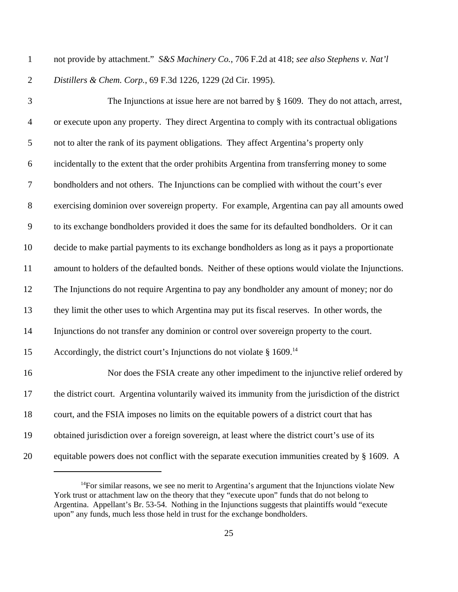- not provide by attachment." *S&S Machinery Co.*, 706 F.2d at 418; *see also Stephens v. Nat'l*
- 

*Distillers & Chem. Corp.*, 69 F.3d 1226, 1229 (2d Cir. 1995).

 The Injunctions at issue here are not barred by § 1609. They do not attach, arrest, or execute upon any property. They direct Argentina to comply with its contractual obligations not to alter the rank of its payment obligations. They affect Argentina's property only incidentally to the extent that the order prohibits Argentina from transferring money to some bondholders and not others. The Injunctions can be complied with without the court's ever exercising dominion over sovereign property. For example, Argentina can pay all amounts owed to its exchange bondholders provided it does the same for its defaulted bondholders. Or it can decide to make partial payments to its exchange bondholders as long as it pays a proportionate amount to holders of the defaulted bonds. Neither of these options would violate the Injunctions. The Injunctions do not require Argentina to pay any bondholder any amount of money; nor do they limit the other uses to which Argentina may put its fiscal reserves. In other words, the Injunctions do not transfer any dominion or control over sovereign property to the court. 15 Accordingly, the district court's Injunctions do not violate  $\S$  1609.<sup>14</sup> Nor does the FSIA create any other impediment to the injunctive relief ordered by the district court. Argentina voluntarily waived its immunity from the jurisdiction of the district court, and the FSIA imposes no limits on the equitable powers of a district court that has obtained jurisdiction over a foreign sovereign, at least where the district court's use of its equitable powers does not conflict with the separate execution immunities created by § 1609. A

For similar reasons, we see no merit to Argentina's argument that the Injunctions violate New York trust or attachment law on the theory that they "execute upon" funds that do not belong to Argentina. Appellant's Br. 53-54. Nothing in the Injunctions suggests that plaintiffs would "execute upon" any funds, much less those held in trust for the exchange bondholders.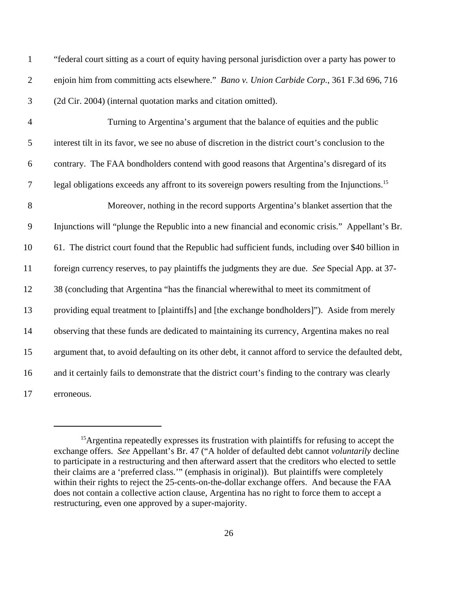| $\mathbf{1}$   | "federal court sitting as a court of equity having personal jurisdiction over a party has power to          |
|----------------|-------------------------------------------------------------------------------------------------------------|
| $\overline{2}$ | enjoin him from committing acts elsewhere." Bano v. Union Carbide Corp., 361 F.3d 696, 716                  |
| $\mathfrak{Z}$ | (2d Cir. 2004) (internal quotation marks and citation omitted).                                             |
| $\overline{4}$ | Turning to Argentina's argument that the balance of equities and the public                                 |
| $\mathfrak{S}$ | interest tilt in its favor, we see no abuse of discretion in the district court's conclusion to the         |
| 6              | contrary. The FAA bondholders contend with good reasons that Argentina's disregard of its                   |
| $\overline{7}$ | legal obligations exceeds any affront to its sovereign powers resulting from the Injunctions. <sup>15</sup> |
| 8              | Moreover, nothing in the record supports Argentina's blanket assertion that the                             |
| 9              | Injunctions will "plunge the Republic into a new financial and economic crisis." Appellant's Br.            |
| 10             | 61. The district court found that the Republic had sufficient funds, including over \$40 billion in         |
| 11             | foreign currency reserves, to pay plaintiffs the judgments they are due. See Special App. at 37-            |
| 12             | 38 (concluding that Argentina "has the financial wherewithal to meet its commitment of                      |
| 13             | providing equal treatment to [plaintiffs] and [the exchange bondholders]"). Aside from merely               |
| 14             | observing that these funds are dedicated to maintaining its currency, Argentina makes no real               |
| 15             | argument that, to avoid defaulting on its other debt, it cannot afford to service the defaulted debt,       |
| 16             | and it certainly fails to demonstrate that the district court's finding to the contrary was clearly         |
| 17             | erroneous.                                                                                                  |

<sup>&</sup>lt;sup>15</sup>Argentina repeatedly expresses its frustration with plaintiffs for refusing to accept the exchange offers. *See* Appellant's Br. 47 ("A holder of defaulted debt cannot *voluntarily* decline to participate in a restructuring and then afterward assert that the creditors who elected to settle their claims are a 'preferred class.'" (emphasis in original)). But plaintiffs were completely within their rights to reject the 25-cents-on-the-dollar exchange offers. And because the FAA does not contain a collective action clause, Argentina has no right to force them to accept a restructuring, even one approved by a super-majority.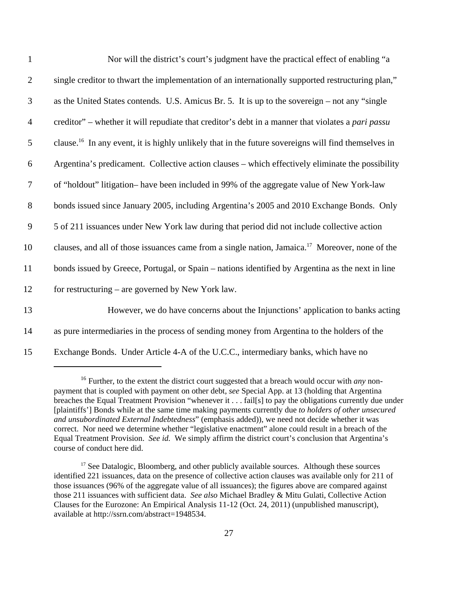| $\mathbf{1}$   | Nor will the district's court's judgment have the practical effect of enabling "a                               |
|----------------|-----------------------------------------------------------------------------------------------------------------|
| $\overline{2}$ | single creditor to thwart the implementation of an internationally supported restructuring plan,"               |
| 3              | as the United States contends. U.S. Amicus Br. 5. It is up to the sovereign – not any "single"                  |
| $\overline{4}$ | creditor" – whether it will repudiate that creditor's debt in a manner that violates a <i>pari passu</i>        |
| 5              | clause. <sup>16</sup> In any event, it is highly unlikely that in the future sovereigns will find themselves in |
| 6              | Argentina's predicament. Collective action clauses – which effectively eliminate the possibility                |
| $\tau$         | of "holdout" litigation-have been included in 99% of the aggregate value of New York-law                        |
| $8\,$          | bonds issued since January 2005, including Argentina's 2005 and 2010 Exchange Bonds. Only                       |
| $\mathbf{9}$   | 5 of 211 issuances under New York law during that period did not include collective action                      |
| 10             | clauses, and all of those issuances came from a single nation, Jamaica. <sup>17</sup> Moreover, none of the     |
| 11             | bonds issued by Greece, Portugal, or Spain – nations identified by Argentina as the next in line                |
| 12             | for restructuring – are governed by New York law.                                                               |
| 13             | However, we do have concerns about the Injunctions' application to banks acting                                 |
| 14             | as pure intermediaries in the process of sending money from Argentina to the holders of the                     |
| 15             | Exchange Bonds. Under Article 4-A of the U.C.C., intermediary banks, which have no                              |

<sup>&</sup>lt;sup>16</sup> Further, to the extent the district court suggested that a breach would occur with *any* nonpayment that is coupled with payment on other debt, *see* Special App. at 13 (holding that Argentina breaches the Equal Treatment Provision "whenever it . . . fail[s] to pay the obligations currently due under [plaintiffs'] Bonds while at the same time making payments currently due *to holders of other unsecured and unsubordinated External Indebtedness*" (emphasis added)), we need not decide whether it was correct. Nor need we determine whether "legislative enactment" alone could result in a breach of the Equal Treatment Provision. *See id.* We simply affirm the district court's conclusion that Argentina's course of conduct here did.

 $17$  See Datalogic, Bloomberg, and other publicly available sources. Although these sources identified 221 issuances, data on the presence of collective action clauses was available only for 211 of those issuances (96% of the aggregate value of all issuances); the figures above are compared against those 211 issuances with sufficient data. *See also* Michael Bradley & Mitu Gulati, Collective Action Clauses for the Eurozone: An Empirical Analysis 11-12 (Oct. 24, 2011) (unpublished manuscript), available at http://ssrn.com/abstract=1948534.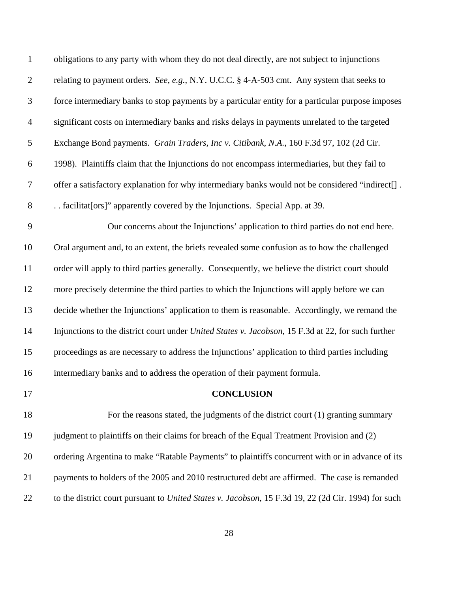| $\mathbf{1}$   | obligations to any party with whom they do not deal directly, are not subject to injunctions               |
|----------------|------------------------------------------------------------------------------------------------------------|
| $\overline{2}$ | relating to payment orders. See, e.g., N.Y. U.C.C. § 4-A-503 cmt. Any system that seeks to                 |
| $\mathfrak{Z}$ | force intermediary banks to stop payments by a particular entity for a particular purpose imposes          |
| $\overline{4}$ | significant costs on intermediary banks and risks delays in payments unrelated to the targeted             |
| 5              | Exchange Bond payments. Grain Traders, Inc v. Citibank, N.A., 160 F.3d 97, 102 (2d Cir.                    |
| 6              | 1998). Plaintiffs claim that the Injunctions do not encompass intermediaries, but they fail to             |
| $\tau$         | offer a satisfactory explanation for why intermediary banks would not be considered "indirect[].           |
| $8\,$          | facilitat [ors]" apparently covered by the Injunctions. Special App. at 39.                                |
| 9              | Our concerns about the Injunctions' application to third parties do not end here.                          |
| 10             | Oral argument and, to an extent, the briefs revealed some confusion as to how the challenged               |
| 11             | order will apply to third parties generally. Consequently, we believe the district court should            |
| 12             | more precisely determine the third parties to which the Injunctions will apply before we can               |
| 13             | decide whether the Injunctions' application to them is reasonable. Accordingly, we remand the              |
| 14             | Injunctions to the district court under <i>United States v. Jacobson</i> , 15 F.3d at 22, for such further |
| 15             | proceedings as are necessary to address the Injunctions' application to third parties including            |
| 16             | intermediary banks and to address the operation of their payment formula.                                  |
| 17             | <b>CONCLUSION</b>                                                                                          |
| 18             | For the reasons stated, the judgments of the district court (1) granting summary                           |
| 19             | judgment to plaintiffs on their claims for breach of the Equal Treatment Provision and (2)                 |
| 20             | ordering Argentina to make "Ratable Payments" to plaintiffs concurrent with or in advance of its           |
| 21             | payments to holders of the 2005 and 2010 restructured debt are affirmed. The case is remanded              |
| 22             | to the district court pursuant to United States v. Jacobson, 15 F.3d 19, 22 (2d Cir. 1994) for such        |